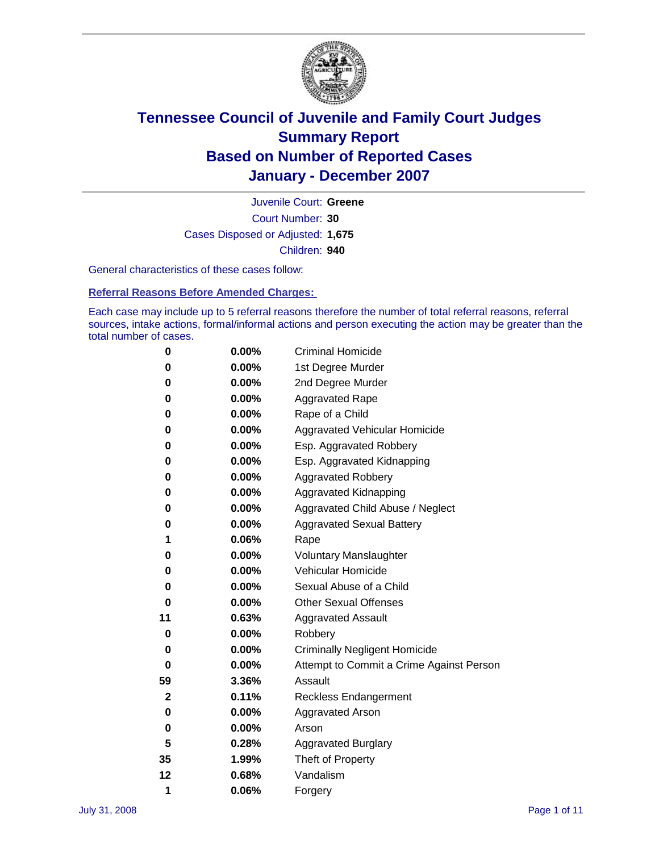

Court Number: **30** Juvenile Court: **Greene** Cases Disposed or Adjusted: **1,675** Children: **940**

General characteristics of these cases follow:

**Referral Reasons Before Amended Charges:** 

Each case may include up to 5 referral reasons therefore the number of total referral reasons, referral sources, intake actions, formal/informal actions and person executing the action may be greater than the total number of cases.

| 0  | 0.00%    | <b>Criminal Homicide</b>                 |
|----|----------|------------------------------------------|
| 0  | 0.00%    | 1st Degree Murder                        |
| 0  | $0.00\%$ | 2nd Degree Murder                        |
| 0  | 0.00%    | <b>Aggravated Rape</b>                   |
| 0  | 0.00%    | Rape of a Child                          |
| 0  | 0.00%    | Aggravated Vehicular Homicide            |
| 0  | 0.00%    | Esp. Aggravated Robbery                  |
| 0  | 0.00%    | Esp. Aggravated Kidnapping               |
| 0  | 0.00%    | <b>Aggravated Robbery</b>                |
| 0  | $0.00\%$ | Aggravated Kidnapping                    |
| 0  | 0.00%    | Aggravated Child Abuse / Neglect         |
| 0  | $0.00\%$ | <b>Aggravated Sexual Battery</b>         |
| 1  | 0.06%    | Rape                                     |
| 0  | 0.00%    | <b>Voluntary Manslaughter</b>            |
| 0  | 0.00%    | Vehicular Homicide                       |
| 0  | 0.00%    | Sexual Abuse of a Child                  |
| 0  | 0.00%    | <b>Other Sexual Offenses</b>             |
| 11 | 0.63%    | <b>Aggravated Assault</b>                |
| 0  | $0.00\%$ | Robbery                                  |
| 0  | 0.00%    | <b>Criminally Negligent Homicide</b>     |
| 0  | 0.00%    | Attempt to Commit a Crime Against Person |
| 59 | 3.36%    | Assault                                  |
| 2  | 0.11%    | <b>Reckless Endangerment</b>             |
| 0  | 0.00%    | Aggravated Arson                         |
| 0  | 0.00%    | Arson                                    |
| 5  | 0.28%    | <b>Aggravated Burglary</b>               |
| 35 | 1.99%    | Theft of Property                        |
| 12 | 0.68%    | Vandalism                                |
| 1  | 0.06%    | Forgery                                  |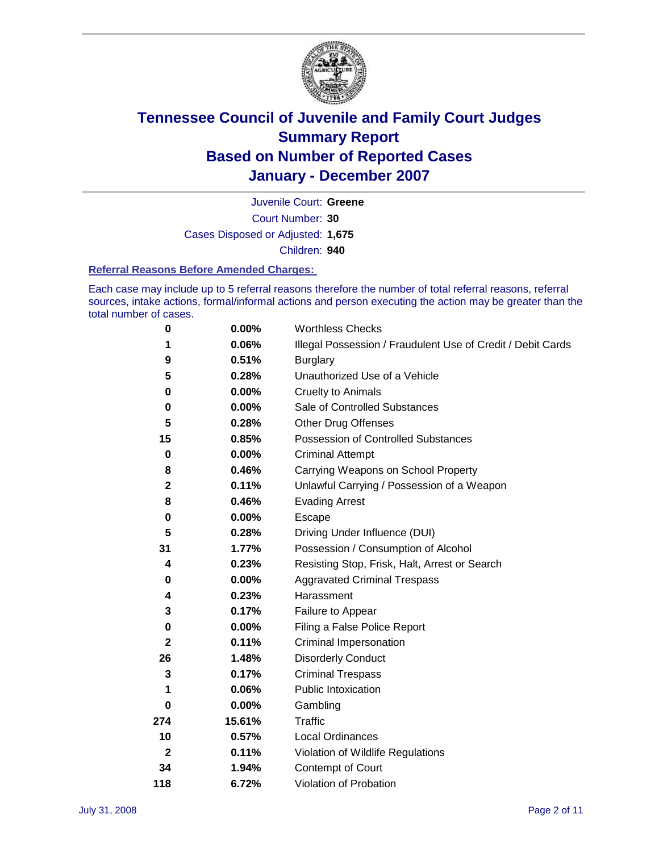

Court Number: **30** Juvenile Court: **Greene** Cases Disposed or Adjusted: **1,675** Children: **940**

#### **Referral Reasons Before Amended Charges:**

Each case may include up to 5 referral reasons therefore the number of total referral reasons, referral sources, intake actions, formal/informal actions and person executing the action may be greater than the total number of cases.

| 0            | 0.00%    | <b>Worthless Checks</b>                                     |
|--------------|----------|-------------------------------------------------------------|
| 1            | 0.06%    | Illegal Possession / Fraudulent Use of Credit / Debit Cards |
| 9            | 0.51%    | <b>Burglary</b>                                             |
| 5            | 0.28%    | Unauthorized Use of a Vehicle                               |
| $\bf{0}$     | 0.00%    | <b>Cruelty to Animals</b>                                   |
| 0            | $0.00\%$ | Sale of Controlled Substances                               |
| 5            | 0.28%    | <b>Other Drug Offenses</b>                                  |
| 15           | 0.85%    | Possession of Controlled Substances                         |
| $\mathbf 0$  | 0.00%    | <b>Criminal Attempt</b>                                     |
| 8            | 0.46%    | Carrying Weapons on School Property                         |
| $\mathbf 2$  | 0.11%    | Unlawful Carrying / Possession of a Weapon                  |
| 8            | 0.46%    | <b>Evading Arrest</b>                                       |
| 0            | 0.00%    | Escape                                                      |
| 5            | 0.28%    | Driving Under Influence (DUI)                               |
| 31           | 1.77%    | Possession / Consumption of Alcohol                         |
| 4            | 0.23%    | Resisting Stop, Frisk, Halt, Arrest or Search               |
| 0            | $0.00\%$ | <b>Aggravated Criminal Trespass</b>                         |
| 4            | 0.23%    | Harassment                                                  |
| 3            | 0.17%    | Failure to Appear                                           |
| 0            | 0.00%    | Filing a False Police Report                                |
| $\mathbf 2$  | 0.11%    | Criminal Impersonation                                      |
| 26           | 1.48%    | <b>Disorderly Conduct</b>                                   |
| 3            | 0.17%    | <b>Criminal Trespass</b>                                    |
| 1            | 0.06%    | <b>Public Intoxication</b>                                  |
| 0            | 0.00%    | Gambling                                                    |
| 274          | 15.61%   | Traffic                                                     |
| 10           | 0.57%    | <b>Local Ordinances</b>                                     |
| $\mathbf{2}$ | 0.11%    | Violation of Wildlife Regulations                           |
| 34           | 1.94%    | Contempt of Court                                           |
| 118          | 6.72%    | Violation of Probation                                      |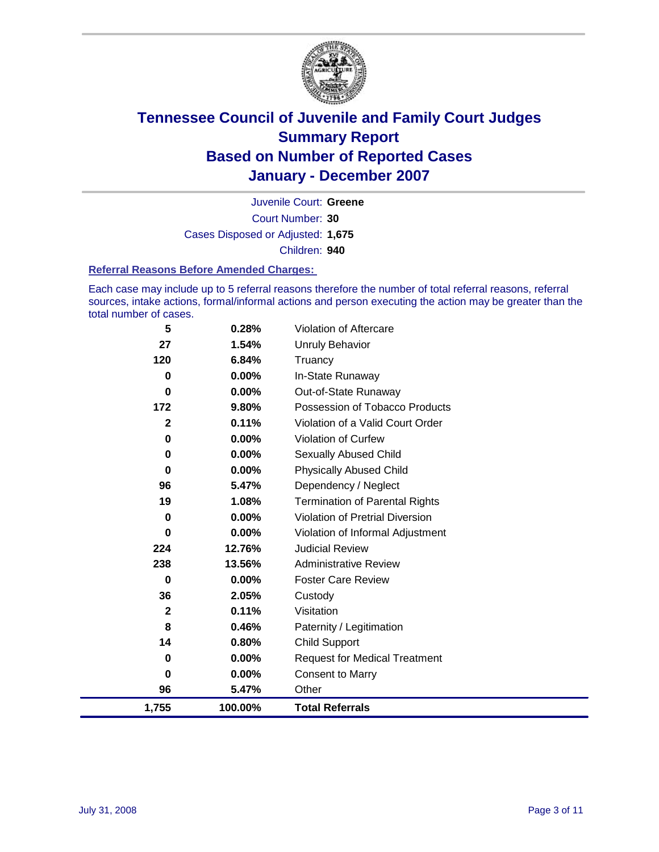

Court Number: **30** Juvenile Court: **Greene** Cases Disposed or Adjusted: **1,675** Children: **940**

#### **Referral Reasons Before Amended Charges:**

Each case may include up to 5 referral reasons therefore the number of total referral reasons, referral sources, intake actions, formal/informal actions and person executing the action may be greater than the total number of cases.

| 5            | 0.28%    | Violation of Aftercare                 |
|--------------|----------|----------------------------------------|
| 27           | 1.54%    | Unruly Behavior                        |
| 120          | 6.84%    | Truancy                                |
| 0            | 0.00%    | In-State Runaway                       |
| 0            | $0.00\%$ | Out-of-State Runaway                   |
| 172          | 9.80%    | Possession of Tobacco Products         |
| $\mathbf{2}$ | 0.11%    | Violation of a Valid Court Order       |
| 0            | $0.00\%$ | <b>Violation of Curfew</b>             |
| 0            | 0.00%    | Sexually Abused Child                  |
| 0            | 0.00%    | <b>Physically Abused Child</b>         |
| 96           | 5.47%    | Dependency / Neglect                   |
| 19           | 1.08%    | <b>Termination of Parental Rights</b>  |
| 0            | 0.00%    | <b>Violation of Pretrial Diversion</b> |
| 0            | 0.00%    | Violation of Informal Adjustment       |
| 224          | 12.76%   | <b>Judicial Review</b>                 |
| 238          | 13.56%   | <b>Administrative Review</b>           |
| 0            | $0.00\%$ | <b>Foster Care Review</b>              |
| 36           | 2.05%    | Custody                                |
| $\mathbf{2}$ | 0.11%    | Visitation                             |
| 8            | 0.46%    | Paternity / Legitimation               |
| 14           | 0.80%    | <b>Child Support</b>                   |
| 0            | 0.00%    | <b>Request for Medical Treatment</b>   |
| 0            | 0.00%    | <b>Consent to Marry</b>                |
| 96           | 5.47%    | Other                                  |
| 1,755        | 100.00%  | <b>Total Referrals</b>                 |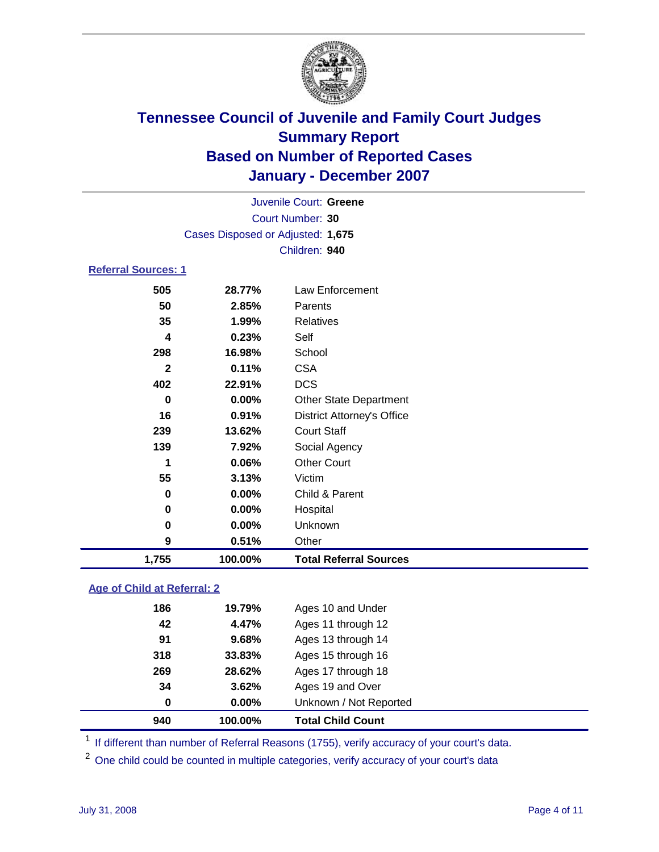

|                            |                                   | Juvenile Court: Greene |  |
|----------------------------|-----------------------------------|------------------------|--|
|                            |                                   | Court Number: 30       |  |
|                            | Cases Disposed or Adjusted: 1,675 |                        |  |
|                            |                                   | Children: 940          |  |
| <b>Referral Sources: 1</b> |                                   |                        |  |
| よのよ                        | 28 77%                            | Law Enforcement        |  |

### **28.77%** Law Enforcement **2.85%** Parents **1.99%** Relatives **0.23%** Self **16.98%** School **0.11%** CSA **22.91%** DCS **0.00%** Other State Department **0.91%** District Attorney's Office **13.62%** Court Staff **7.92%** Social Agency **0.06%** Other Court **3.13%** Victim **0.00%** Child & Parent **0.00%** Hospital **0.00%** Unknown **0.51%** Other **1,755 100.00% Total Referral Sources**

### **Age of Child at Referral: 2**

| 940 | 100.00%  | <b>Total Child Count</b> |  |
|-----|----------|--------------------------|--|
| 0   | $0.00\%$ | Unknown / Not Reported   |  |
| 34  | 3.62%    | Ages 19 and Over         |  |
| 269 | 28.62%   | Ages 17 through 18       |  |
| 318 | 33.83%   | Ages 15 through 16       |  |
| 91  | 9.68%    | Ages 13 through 14       |  |
| 42  | 4.47%    | Ages 11 through 12       |  |
| 186 | 19.79%   | Ages 10 and Under        |  |
|     |          |                          |  |

<sup>1</sup> If different than number of Referral Reasons (1755), verify accuracy of your court's data.

<sup>2</sup> One child could be counted in multiple categories, verify accuracy of your court's data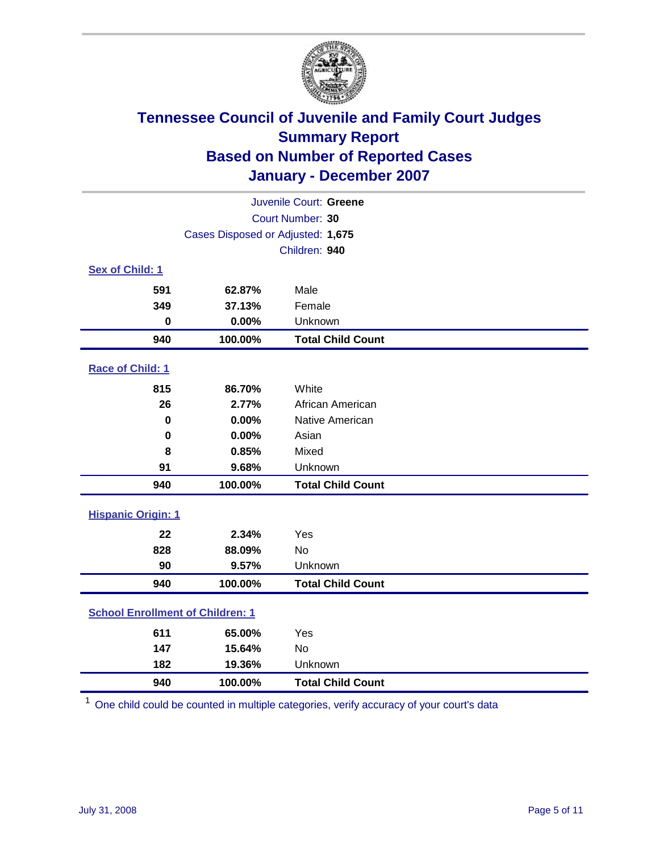

| Juvenile Court: Greene                  |                                   |                          |  |  |  |
|-----------------------------------------|-----------------------------------|--------------------------|--|--|--|
| Court Number: 30                        |                                   |                          |  |  |  |
|                                         | Cases Disposed or Adjusted: 1,675 |                          |  |  |  |
|                                         | Children: 940                     |                          |  |  |  |
| Sex of Child: 1                         |                                   |                          |  |  |  |
| 591                                     | 62.87%                            | Male                     |  |  |  |
| 349                                     | 37.13%                            | Female                   |  |  |  |
| $\bf{0}$                                | 0.00%                             | Unknown                  |  |  |  |
| 940                                     | 100.00%                           | <b>Total Child Count</b> |  |  |  |
| Race of Child: 1                        |                                   |                          |  |  |  |
| 815                                     | 86.70%                            | White                    |  |  |  |
| 26                                      | 2.77%                             | African American         |  |  |  |
| 0                                       | 0.00%                             | Native American          |  |  |  |
| $\bf{0}$                                | 0.00%                             | Asian                    |  |  |  |
| 8                                       | 0.85%                             | Mixed                    |  |  |  |
| 91                                      | 9.68%                             | Unknown                  |  |  |  |
| 940                                     | 100.00%                           | <b>Total Child Count</b> |  |  |  |
| <b>Hispanic Origin: 1</b>               |                                   |                          |  |  |  |
| 22                                      | 2.34%                             | Yes                      |  |  |  |
| 828                                     | 88.09%                            | <b>No</b>                |  |  |  |
| 90                                      | 9.57%                             | Unknown                  |  |  |  |
| 940                                     | 100.00%                           | <b>Total Child Count</b> |  |  |  |
| <b>School Enrollment of Children: 1</b> |                                   |                          |  |  |  |
| 611                                     | 65.00%                            | Yes                      |  |  |  |
| 147                                     | 15.64%                            | <b>No</b>                |  |  |  |
| 182                                     | 19.36%                            | Unknown                  |  |  |  |
| 940                                     | 100.00%                           | <b>Total Child Count</b> |  |  |  |

One child could be counted in multiple categories, verify accuracy of your court's data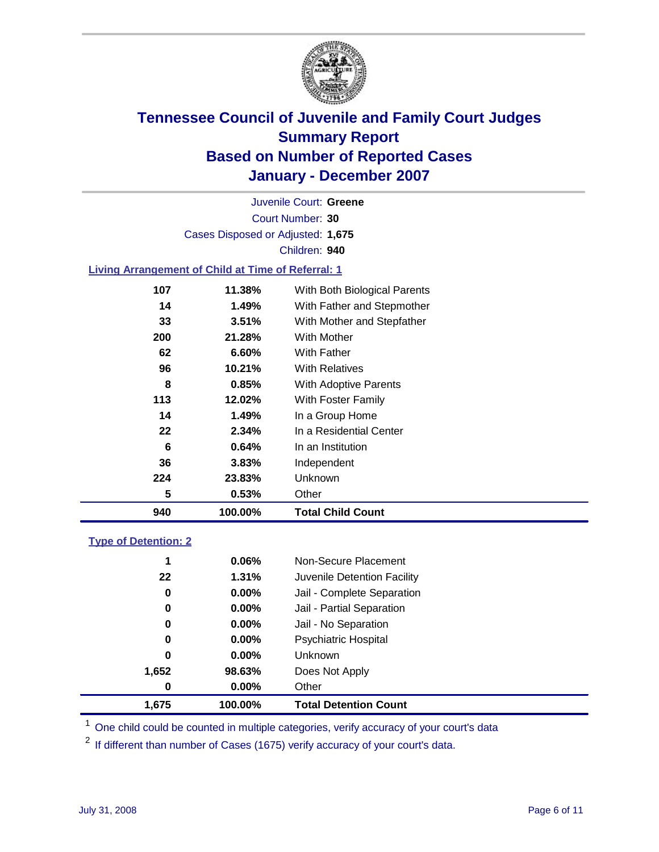

Court Number: **30** Juvenile Court: **Greene** Cases Disposed or Adjusted: **1,675** Children: **940**

#### **Living Arrangement of Child at Time of Referral: 1**

| 940 | 100.00%  | <b>Total Child Count</b>     |
|-----|----------|------------------------------|
| 5   | 0.53%    | Other                        |
| 224 | 23.83%   | Unknown                      |
| 36  | $3.83\%$ | Independent                  |
| 6   | 0.64%    | In an Institution            |
| 22  | $2.34\%$ | In a Residential Center      |
| 14  | 1.49%    | In a Group Home              |
| 113 | 12.02%   | With Foster Family           |
| 8   | 0.85%    | With Adoptive Parents        |
| 96  | 10.21%   | <b>With Relatives</b>        |
| 62  | 6.60%    | With Father                  |
| 200 | 21.28%   | With Mother                  |
| 33  | 3.51%    | With Mother and Stepfather   |
| 14  | 1.49%    | With Father and Stepmother   |
| 107 | 11.38%   | With Both Biological Parents |

#### **Type of Detention: 2**

| 1.675 | 100.00%  | <b>Total Detention Count</b> |  |
|-------|----------|------------------------------|--|
| 0     | 0.00%    | Other                        |  |
| 1,652 | 98.63%   | Does Not Apply               |  |
| 0     | $0.00\%$ | Unknown                      |  |
| 0     | 0.00%    | <b>Psychiatric Hospital</b>  |  |
| 0     | 0.00%    | Jail - No Separation         |  |
| 0     | $0.00\%$ | Jail - Partial Separation    |  |
| 0     | $0.00\%$ | Jail - Complete Separation   |  |
| 22    | 1.31%    | Juvenile Detention Facility  |  |
| 1     | 0.06%    | Non-Secure Placement         |  |
|       |          |                              |  |

<sup>1</sup> One child could be counted in multiple categories, verify accuracy of your court's data

<sup>2</sup> If different than number of Cases (1675) verify accuracy of your court's data.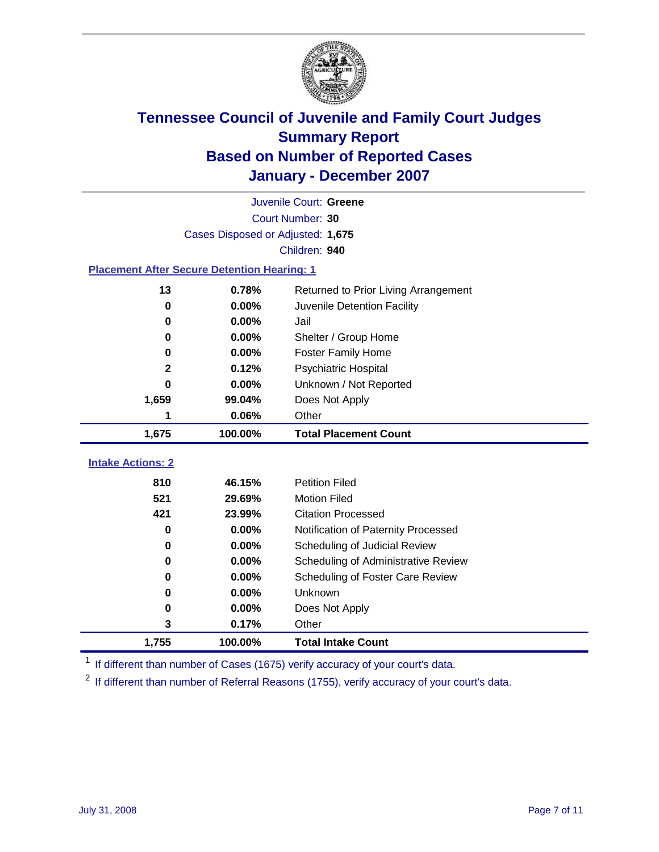

|                                                    | Juvenile Court: Greene            |                                      |  |  |  |
|----------------------------------------------------|-----------------------------------|--------------------------------------|--|--|--|
| Court Number: 30                                   |                                   |                                      |  |  |  |
|                                                    | Cases Disposed or Adjusted: 1,675 |                                      |  |  |  |
|                                                    | Children: 940                     |                                      |  |  |  |
| <b>Placement After Secure Detention Hearing: 1</b> |                                   |                                      |  |  |  |
| 13                                                 | 0.78%                             | Returned to Prior Living Arrangement |  |  |  |
| 0                                                  | 0.00%                             | Juvenile Detention Facility          |  |  |  |
| 0                                                  | 0.00%                             | Jail                                 |  |  |  |
| 0                                                  | 0.00%                             | Shelter / Group Home                 |  |  |  |
| 0                                                  | $0.00\%$                          | <b>Foster Family Home</b>            |  |  |  |
| 2                                                  | 0.12%                             | Psychiatric Hospital                 |  |  |  |
| 0                                                  | $0.00\%$                          | Unknown / Not Reported               |  |  |  |
| 1,659                                              | 99.04%                            | Does Not Apply                       |  |  |  |
| 1                                                  | 0.06%                             | Other                                |  |  |  |
| 1,675                                              | 100.00%                           | <b>Total Placement Count</b>         |  |  |  |
| <b>Intake Actions: 2</b>                           |                                   |                                      |  |  |  |
|                                                    |                                   |                                      |  |  |  |
| 810                                                | 46.15%                            | <b>Petition Filed</b>                |  |  |  |
| 521                                                | 29.69%                            | <b>Motion Filed</b>                  |  |  |  |
| 421                                                | 23.99%                            | <b>Citation Processed</b>            |  |  |  |
| 0                                                  | 0.00%                             | Notification of Paternity Processed  |  |  |  |
| 0                                                  | 0.00%                             | Scheduling of Judicial Review        |  |  |  |
| 0                                                  | 0.00%                             | Scheduling of Administrative Review  |  |  |  |
| 0                                                  | 0.00%                             | Scheduling of Foster Care Review     |  |  |  |
| 0                                                  | 0.00%                             | Unknown                              |  |  |  |
| 0                                                  | 0.00%                             | Does Not Apply                       |  |  |  |
| 3                                                  | 0.17%                             | Other                                |  |  |  |
| 1,755                                              | 100.00%                           | <b>Total Intake Count</b>            |  |  |  |

<sup>1</sup> If different than number of Cases (1675) verify accuracy of your court's data.

<sup>2</sup> If different than number of Referral Reasons (1755), verify accuracy of your court's data.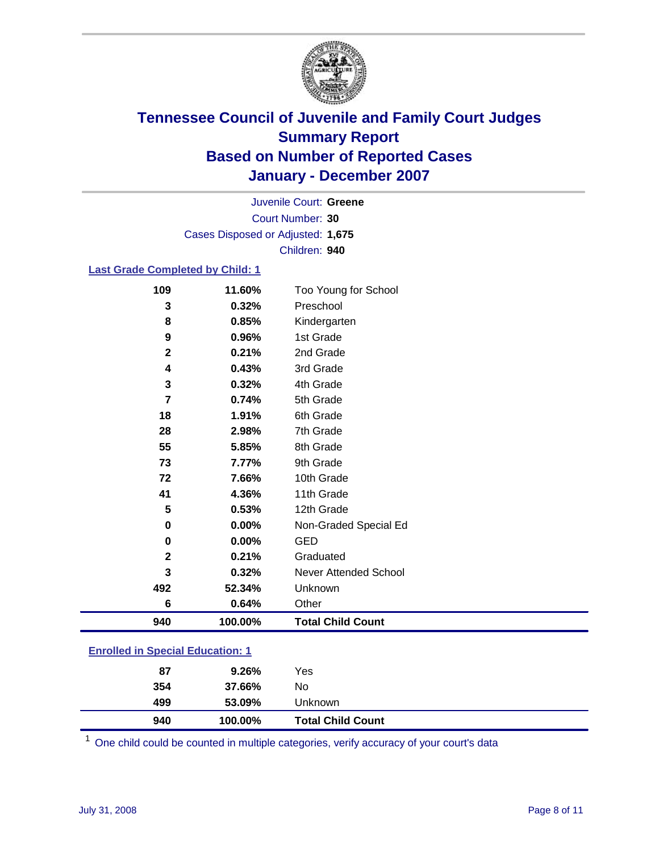

Court Number: **30** Juvenile Court: **Greene** Cases Disposed or Adjusted: **1,675** Children: **940**

#### **Last Grade Completed by Child: 1**

| 109            | 11.60%  | Too Young for School     |
|----------------|---------|--------------------------|
| 3              | 0.32%   | Preschool                |
| 8              | 0.85%   | Kindergarten             |
| 9              | 0.96%   | 1st Grade                |
| $\mathbf 2$    | 0.21%   | 2nd Grade                |
| 4              | 0.43%   | 3rd Grade                |
| 3              | 0.32%   | 4th Grade                |
| $\overline{7}$ | 0.74%   | 5th Grade                |
| 18             | 1.91%   | 6th Grade                |
| 28             | 2.98%   | 7th Grade                |
| 55             | 5.85%   | 8th Grade                |
| 73             | 7.77%   | 9th Grade                |
| 72             | 7.66%   | 10th Grade               |
| 41             | 4.36%   | 11th Grade               |
| 5              | 0.53%   | 12th Grade               |
| 0              | 0.00%   | Non-Graded Special Ed    |
| 0              | 0.00%   | <b>GED</b>               |
| $\mathbf 2$    | 0.21%   | Graduated                |
| 3              | 0.32%   | Never Attended School    |
| 492            | 52.34%  | Unknown                  |
| 6              | 0.64%   | Other                    |
| 940            | 100.00% | <b>Total Child Count</b> |

### **Enrolled in Special Education: 1**

| 499<br>53.09%<br>Unknown |  |
|--------------------------|--|
|                          |  |
| 354<br>No<br>37.66%      |  |
| 87<br>Yes<br>9.26%       |  |

One child could be counted in multiple categories, verify accuracy of your court's data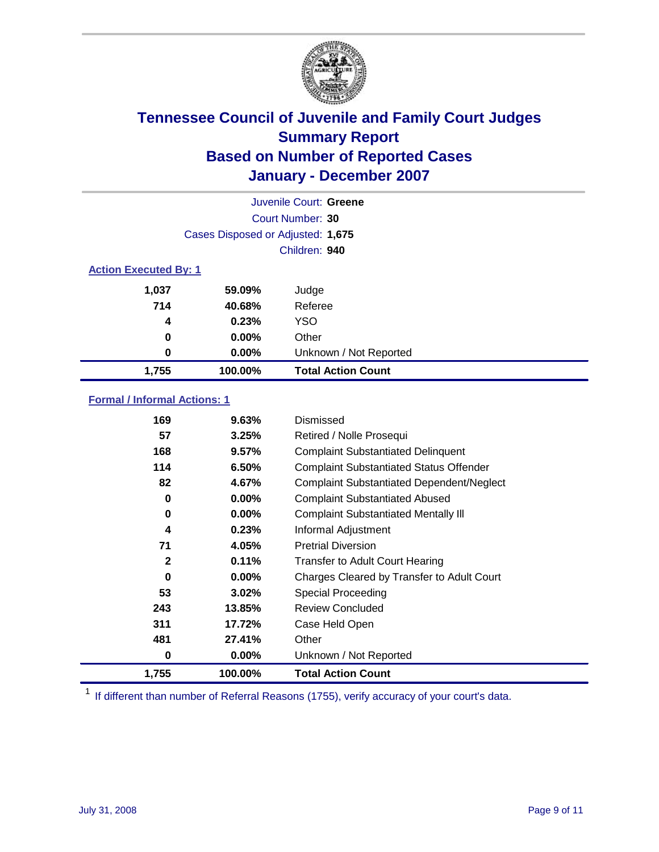

| Juvenile Court: Greene       |                                   |                           |  |  |  |
|------------------------------|-----------------------------------|---------------------------|--|--|--|
|                              | Court Number: 30                  |                           |  |  |  |
|                              | Cases Disposed or Adjusted: 1,675 |                           |  |  |  |
|                              | Children: 940                     |                           |  |  |  |
| <b>Action Executed By: 1</b> |                                   |                           |  |  |  |
| 1,037                        | 59.09%                            | Judge                     |  |  |  |
| 714                          | 40.68%                            | Referee                   |  |  |  |
| 4                            | 0.23%                             | <b>YSO</b>                |  |  |  |
| $\bf{0}$                     | 0.00%                             | Other                     |  |  |  |
| 0                            | 0.00%                             | Unknown / Not Reported    |  |  |  |
| 1,755                        | 100.00%                           | <b>Total Action Count</b> |  |  |  |

### **Formal / Informal Actions: 1**

| 169   | 9.63%    | Dismissed                                        |
|-------|----------|--------------------------------------------------|
| 57    | 3.25%    | Retired / Nolle Prosequi                         |
| 168   | 9.57%    | <b>Complaint Substantiated Delinquent</b>        |
| 114   | 6.50%    | <b>Complaint Substantiated Status Offender</b>   |
| 82    | 4.67%    | <b>Complaint Substantiated Dependent/Neglect</b> |
| 0     | 0.00%    | <b>Complaint Substantiated Abused</b>            |
| 0     | $0.00\%$ | <b>Complaint Substantiated Mentally III</b>      |
| 4     | 0.23%    | Informal Adjustment                              |
| 71    | 4.05%    | <b>Pretrial Diversion</b>                        |
| 2     | 0.11%    | <b>Transfer to Adult Court Hearing</b>           |
| 0     | $0.00\%$ | Charges Cleared by Transfer to Adult Court       |
| 53    | 3.02%    | Special Proceeding                               |
| 243   | 13.85%   | Review Concluded                                 |
| 311   | 17.72%   | Case Held Open                                   |
| 481   | 27.41%   | Other                                            |
| 0     | $0.00\%$ | Unknown / Not Reported                           |
| 1,755 | 100.00%  | <b>Total Action Count</b>                        |

<sup>1</sup> If different than number of Referral Reasons (1755), verify accuracy of your court's data.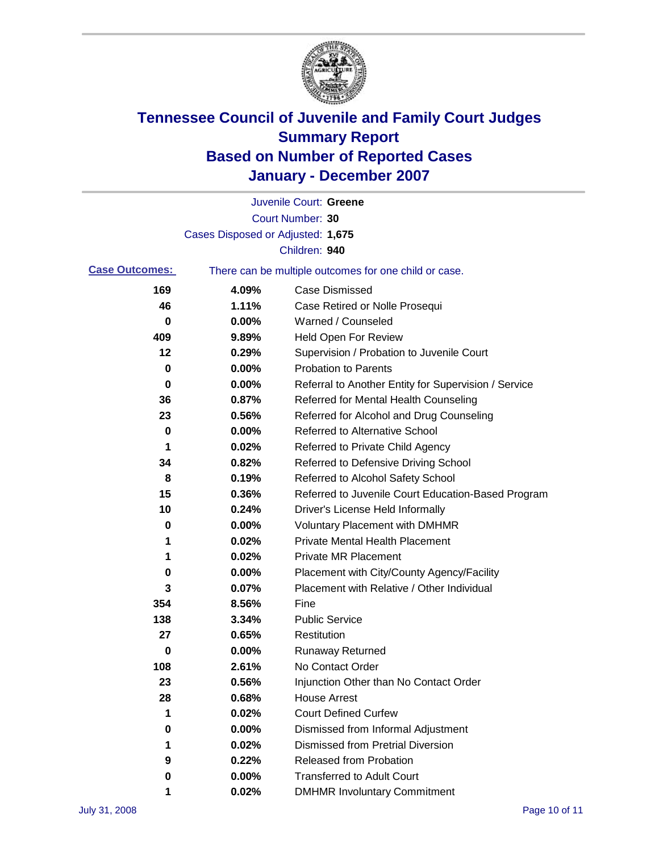

|                       |                                   | Juvenile Court: Greene                                |
|-----------------------|-----------------------------------|-------------------------------------------------------|
|                       |                                   | Court Number: 30                                      |
|                       | Cases Disposed or Adjusted: 1,675 |                                                       |
|                       |                                   | Children: 940                                         |
| <b>Case Outcomes:</b> |                                   | There can be multiple outcomes for one child or case. |
| 169                   | 4.09%                             | <b>Case Dismissed</b>                                 |
| 46                    | 1.11%                             | Case Retired or Nolle Prosequi                        |
| 0                     | 0.00%                             | Warned / Counseled                                    |
| 409                   | 9.89%                             | <b>Held Open For Review</b>                           |
| 12                    | 0.29%                             | Supervision / Probation to Juvenile Court             |
| 0                     | 0.00%                             | <b>Probation to Parents</b>                           |
| 0                     | 0.00%                             | Referral to Another Entity for Supervision / Service  |
| 36                    | 0.87%                             | Referred for Mental Health Counseling                 |
| 23                    | 0.56%                             | Referred for Alcohol and Drug Counseling              |
| 0                     | 0.00%                             | <b>Referred to Alternative School</b>                 |
| 1                     | 0.02%                             | Referred to Private Child Agency                      |
| 34                    | 0.82%                             | Referred to Defensive Driving School                  |
| 8                     | 0.19%                             | Referred to Alcohol Safety School                     |
| 15                    | 0.36%                             | Referred to Juvenile Court Education-Based Program    |
| 10                    | 0.24%                             | Driver's License Held Informally                      |
| 0                     | 0.00%                             | <b>Voluntary Placement with DMHMR</b>                 |
| 1                     | 0.02%                             | <b>Private Mental Health Placement</b>                |
| 1                     | 0.02%                             | <b>Private MR Placement</b>                           |
| 0                     | 0.00%                             | Placement with City/County Agency/Facility            |
| 3                     | 0.07%                             | Placement with Relative / Other Individual            |
| 354                   | 8.56%                             | Fine                                                  |
| 138                   | 3.34%                             | <b>Public Service</b>                                 |
| 27                    | 0.65%                             | Restitution                                           |
| 0                     | 0.00%                             | <b>Runaway Returned</b>                               |
| 108                   | 2.61%                             | No Contact Order                                      |
| 23                    | 0.56%                             | Injunction Other than No Contact Order                |
| 28                    | 0.68%                             | <b>House Arrest</b>                                   |
| 1                     | 0.02%                             | <b>Court Defined Curfew</b>                           |
| 0                     | 0.00%                             | Dismissed from Informal Adjustment                    |
| 1                     | 0.02%                             | <b>Dismissed from Pretrial Diversion</b>              |
| 9                     | 0.22%                             | <b>Released from Probation</b>                        |
| 0                     | 0.00%                             | <b>Transferred to Adult Court</b>                     |
| 1                     | 0.02%                             | <b>DMHMR Involuntary Commitment</b>                   |